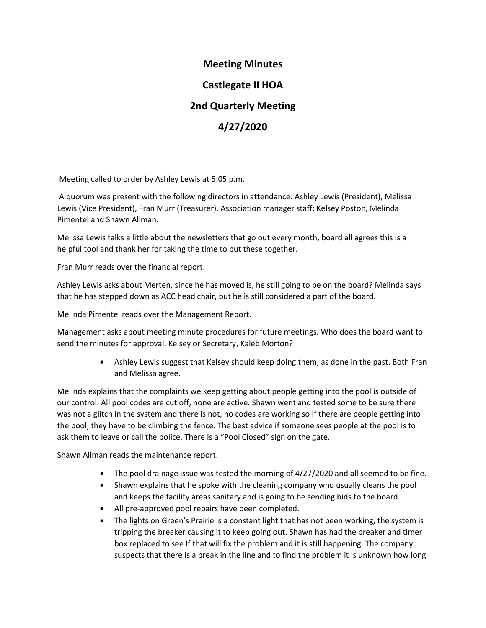# **Meeting Minutes**

# **Castlegate II HOA**

# **2nd Quarterly Meeting**

# **4/27/2020**

Meeting called to order by Ashley Lewis at 5:05 p.m.

 A quorum was present with the following directors in attendance: Ashley Lewis (President), Melissa Lewis (Vice President), Fran Murr (Treasurer). Association manager staff: Kelsey Poston, Melinda Pimentel and Shawn Allman.

Melissa Lewis talks a little about the newsletters that go out every month, board all agrees this is a helpful tool and thank her for taking the time to put these together.

Fran Murr reads over the financial report.

Ashley Lewis asks about Merten, since he has moved is, he still going to be on the board? Melinda says that he has stepped down as ACC head chair, but he is still considered a part of the board.

Melinda Pimentel reads over the Management Report.

Management asks about meeting minute procedures for future meetings. Who does the board want to send the minutes for approval, Kelsey or Secretary, Kaleb Morton?

> • Ashley Lewis suggest that Kelsey should keep doing them, as done in the past. Both Fran and Melissa agree.

Melinda explains that the complaints we keep getting about people getting into the pool is outside of our control. All pool codes are cut off, none are active. Shawn went and tested some to be sure there was not a glitch in the system and there is not, no codes are working so if there are people getting into the pool, they have to be climbing the fence. The best advice if someone sees people at the pool is to ask them to leave or call the police. There is a "Pool Closed" sign on the gate.

Shawn Allman reads the maintenance report.

- The pool drainage issue was tested the morning of 4/27/2020 and all seemed to be fine.
- Shawn explains that he spoke with the cleaning company who usually cleans the pool and keeps the facility areas sanitary and is going to be sending bids to the board.
- All pre-approved pool repairs have been completed.
- The lights on Green's Prairie is a constant light that has not been working, the system is tripping the breaker causing it to keep going out. Shawn has had the breaker and timer box replaced to see If that will fix the problem and it is still happening. The company suspects that there is a break in the line and to find the problem it is unknown how long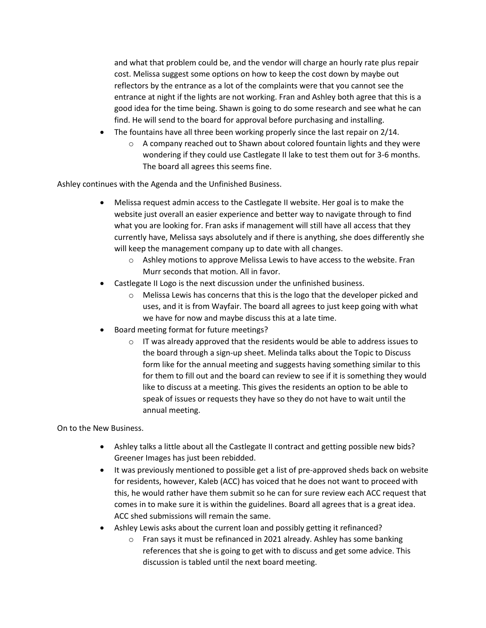and what that problem could be, and the vendor will charge an hourly rate plus repair cost. Melissa suggest some options on how to keep the cost down by maybe out reflectors by the entrance as a lot of the complaints were that you cannot see the entrance at night if the lights are not working. Fran and Ashley both agree that this is a good idea for the time being. Shawn is going to do some research and see what he can find. He will send to the board for approval before purchasing and installing.

- The fountains have all three been working properly since the last repair on 2/14.
	- o A company reached out to Shawn about colored fountain lights and they were wondering if they could use Castlegate II lake to test them out for 3-6 months. The board all agrees this seems fine.

Ashley continues with the Agenda and the Unfinished Business.

- Melissa request admin access to the Castlegate II website. Her goal is to make the website just overall an easier experience and better way to navigate through to find what you are looking for. Fran asks if management will still have all access that they currently have, Melissa says absolutely and if there is anything, she does differently she will keep the management company up to date with all changes.
	- o Ashley motions to approve Melissa Lewis to have access to the website. Fran Murr seconds that motion. All in favor.
- Castlegate II Logo is the next discussion under the unfinished business.
	- o Melissa Lewis has concerns that this is the logo that the developer picked and uses, and it is from Wayfair. The board all agrees to just keep going with what we have for now and maybe discuss this at a late time.
- Board meeting format for future meetings?
	- $\circ$  IT was already approved that the residents would be able to address issues to the board through a sign-up sheet. Melinda talks about the Topic to Discuss form like for the annual meeting and suggests having something similar to this for them to fill out and the board can review to see if it is something they would like to discuss at a meeting. This gives the residents an option to be able to speak of issues or requests they have so they do not have to wait until the annual meeting.

On to the New Business.

- Ashley talks a little about all the Castlegate II contract and getting possible new bids? Greener Images has just been rebidded.
- It was previously mentioned to possible get a list of pre-approved sheds back on website for residents, however, Kaleb (ACC) has voiced that he does not want to proceed with this, he would rather have them submit so he can for sure review each ACC request that comes in to make sure it is within the guidelines. Board all agrees that is a great idea. ACC shed submissions will remain the same.
- Ashley Lewis asks about the current loan and possibly getting it refinanced?
	- o Fran says it must be refinanced in 2021 already. Ashley has some banking references that she is going to get with to discuss and get some advice. This discussion is tabled until the next board meeting.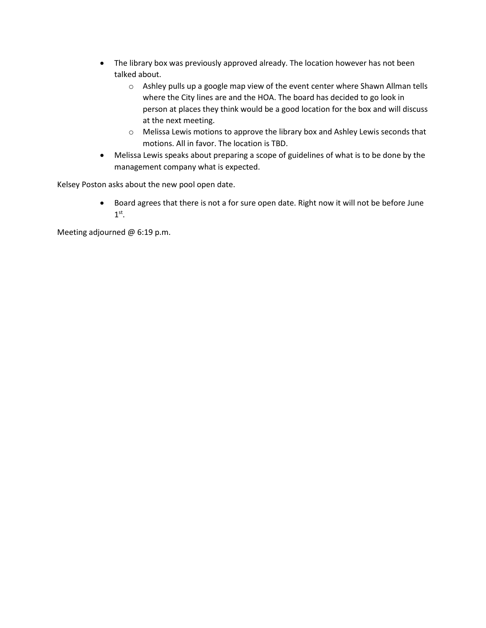- The library box was previously approved already. The location however has not been talked about.
	- o Ashley pulls up a google map view of the event center where Shawn Allman tells where the City lines are and the HOA. The board has decided to go look in person at places they think would be a good location for the box and will discuss at the next meeting.
	- o Melissa Lewis motions to approve the library box and Ashley Lewis seconds that motions. All in favor. The location is TBD.
- Melissa Lewis speaks about preparing a scope of guidelines of what is to be done by the management company what is expected.

Kelsey Poston asks about the new pool open date.

• Board agrees that there is not a for sure open date. Right now it will not be before June  $1^\text{st}$ .

Meeting adjourned @ 6:19 p.m.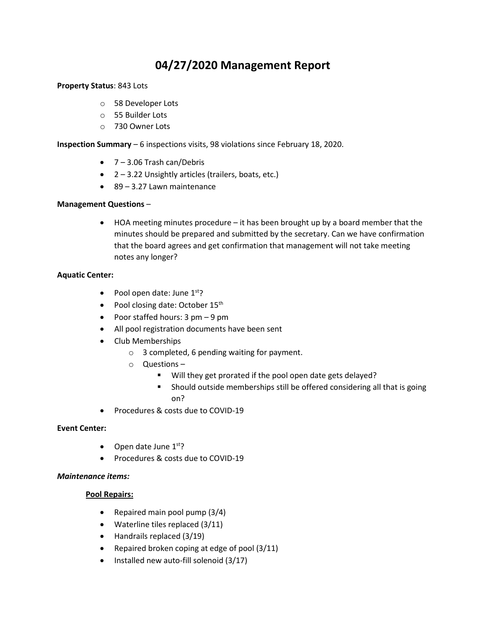# **04/27/2020 Management Report**

#### **Property Status**: 843 Lots

- o 58 Developer Lots
- o 55 Builder Lots
- o 730 Owner Lots

**Inspection Summary** – 6 inspections visits, 98 violations since February 18, 2020.

- 7 3.06 Trash can/Debris
- 2 3.22 Unsightly articles (trailers, boats, etc.)
- 89 3.27 Lawn maintenance

#### **Management Questions** –

• HOA meeting minutes procedure – it has been brought up by a board member that the minutes should be prepared and submitted by the secretary. Can we have confirmation that the board agrees and get confirmation that management will not take meeting notes any longer?

#### **Aquatic Center:**

- Pool open date: June  $1<sup>st</sup>$ ?
- Pool closing date: October 15<sup>th</sup>
- Poor staffed hours: 3 pm 9 pm
- All pool registration documents have been sent
- Club Memberships
	- o 3 completed, 6 pending waiting for payment.
	- o Questions
		- Will they get prorated if the pool open date gets delayed?
		- **Should outside memberships still be offered considering all that is going** on?
- Procedures & costs due to COVID-19

# **Event Center:**

- Open date June  $1<sup>st</sup>$ ?
- Procedures & costs due to COVID-19

# *Maintenance items:*

# **Pool Repairs:**

- Repaired main pool pump (3/4)
- Waterline tiles replaced (3/11)
- Handrails replaced (3/19)
- Repaired broken coping at edge of pool (3/11)
- Installed new auto-fill solenoid (3/17)